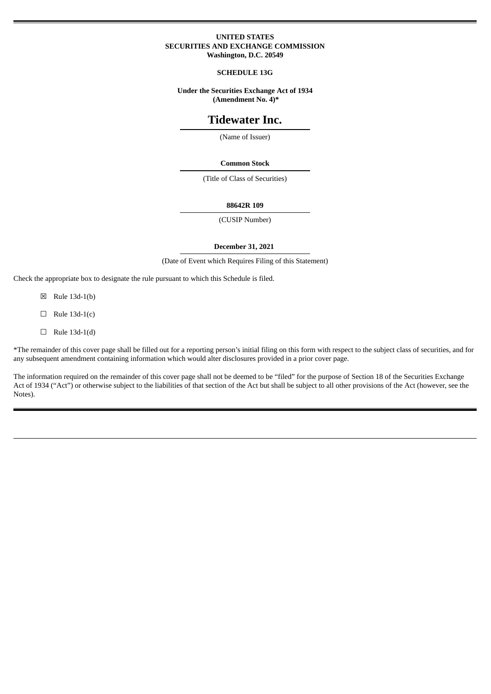### **UNITED STATES SECURITIES AND EXCHANGE COMMISSION Washington, D.C. 20549**

### **SCHEDULE 13G**

### **Under the Securities Exchange Act of 1934 (Amendment No. 4)\***

# **Tidewater Inc.**

(Name of Issuer)

#### **Common Stock**

(Title of Class of Securities)

### **88642R 109**

(CUSIP Number)

### **December 31, 2021**

(Date of Event which Requires Filing of this Statement)

Check the appropriate box to designate the rule pursuant to which this Schedule is filed.

- ☒ Rule 13d-1(b)
- $\Box$  Rule 13d-1(c)
- $\Box$  Rule 13d-1(d)

\*The remainder of this cover page shall be filled out for a reporting person's initial filing on this form with respect to the subject class of securities, and for any subsequent amendment containing information which would alter disclosures provided in a prior cover page.

The information required on the remainder of this cover page shall not be deemed to be "filed" for the purpose of Section 18 of the Securities Exchange Act of 1934 ("Act") or otherwise subject to the liabilities of that section of the Act but shall be subject to all other provisions of the Act (however, see the Notes).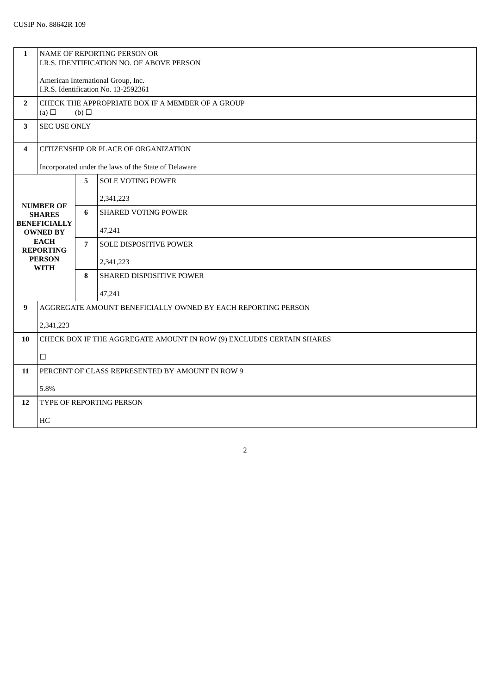| $\mathbf{1}$                                                                                                                                   | NAME OF REPORTING PERSON OR<br>I.R.S. IDENTIFICATION NO. OF ABOVE PERSON   |                |                            |
|------------------------------------------------------------------------------------------------------------------------------------------------|----------------------------------------------------------------------------|----------------|----------------------------|
|                                                                                                                                                | American International Group, Inc.<br>I.R.S. Identification No. 13-2592361 |                |                            |
| $\overline{2}$                                                                                                                                 | CHECK THE APPROPRIATE BOX IF A MEMBER OF A GROUP<br>(a) $\Box$<br>(b)      |                |                            |
| 3                                                                                                                                              | <b>SEC USE ONLY</b>                                                        |                |                            |
| 4                                                                                                                                              | CITIZENSHIP OR PLACE OF ORGANIZATION                                       |                |                            |
| Incorporated under the laws of the State of Delaware                                                                                           |                                                                            |                |                            |
|                                                                                                                                                |                                                                            | 5              | <b>SOLE VOTING POWER</b>   |
| <b>NUMBER OF</b><br><b>SHARES</b><br><b>BENEFICIALLY</b><br><b>OWNED BY</b><br><b>EACH</b><br><b>REPORTING</b><br><b>PERSON</b><br><b>WITH</b> |                                                                            |                | 2,341,223                  |
|                                                                                                                                                |                                                                            | 6              | <b>SHARED VOTING POWER</b> |
|                                                                                                                                                |                                                                            |                | 47,241                     |
|                                                                                                                                                |                                                                            | $\overline{7}$ | SOLE DISPOSITIVE POWER     |
|                                                                                                                                                |                                                                            |                | 2,341,223                  |
|                                                                                                                                                |                                                                            | 8              | SHARED DISPOSITIVE POWER   |
|                                                                                                                                                |                                                                            |                | 47,241                     |
| 9                                                                                                                                              | AGGREGATE AMOUNT BENEFICIALLY OWNED BY EACH REPORTING PERSON               |                |                            |
|                                                                                                                                                | 2,341,223                                                                  |                |                            |
| 10                                                                                                                                             | CHECK BOX IF THE AGGREGATE AMOUNT IN ROW (9) EXCLUDES CERTAIN SHARES       |                |                            |
|                                                                                                                                                | $\Box$                                                                     |                |                            |
| 11                                                                                                                                             | PERCENT OF CLASS REPRESENTED BY AMOUNT IN ROW 9                            |                |                            |
|                                                                                                                                                | 5.8%                                                                       |                |                            |
| 12                                                                                                                                             | TYPE OF REPORTING PERSON                                                   |                |                            |
|                                                                                                                                                | HC                                                                         |                |                            |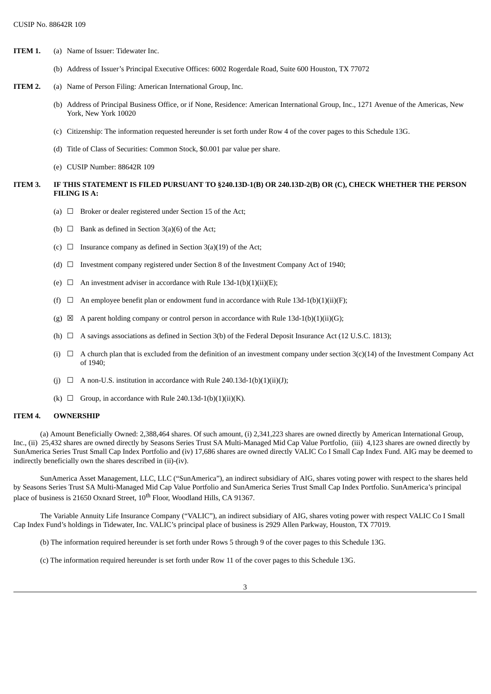- **ITEM 1.** (a) Name of Issuer: Tidewater Inc.
	- (b) Address of Issuer's Principal Executive Offices: 6002 Rogerdale Road, Suite 600 Houston, TX 77072
- **ITEM 2.** (a) Name of Person Filing: American International Group, Inc.
	- (b) Address of Principal Business Office, or if None, Residence: American International Group, Inc., 1271 Avenue of the Americas, New York, New York 10020
	- (c) Citizenship: The information requested hereunder is set forth under Row 4 of the cover pages to this Schedule 13G.
	- (d) Title of Class of Securities: Common Stock, \$0.001 par value per share.
	- (e) CUSIP Number: 88642R 109

### ITEM 3. IF THIS STATEMENT IS FILED PURSUANT TO §240.13D-1(B) OR 240.13D-2(B) OR (C), CHECK WHETHER THE PERSON **FILING IS A:**

- (a)  $\Box$  Broker or dealer registered under Section 15 of the Act;
- (b)  $\Box$  Bank as defined in Section 3(a)(6) of the Act;
- (c)  $\Box$  Insurance company as defined in Section 3(a)(19) of the Act;
- (d)  $\Box$  Investment company registered under Section 8 of the Investment Company Act of 1940;
- (e)  $\Box$  An investment adviser in accordance with Rule 13d-1(b)(1)(ii)(E):
- (f)  $\Box$  An employee benefit plan or endowment fund in accordance with Rule 13d-1(b)(1)(ii)(F);
- (g)  $\boxtimes$  A parent holding company or control person in accordance with Rule 13d-1(b)(1)(ii)(G);
- (h)  $\Box$  A savings associations as defined in Section 3(b) of the Federal Deposit Insurance Act (12 U.S.C. 1813);
- (i)  $\Box$  A church plan that is excluded from the definition of an investment company under section 3(c)(14) of the Investment Company Act of 1940;
- (j)  $\Box$  A non-U.S. institution in accordance with Rule 240.13d-1(b)(1)(ii)(J);
- (k)  $\Box$  Group, in accordance with Rule 240.13d-1(b)(1)(ii)(K).

#### **ITEM 4. OWNERSHIP**

(a) Amount Beneficially Owned: 2,388,464 shares. Of such amount, (i) 2,341,223 shares are owned directly by American International Group, Inc., (ii) 25,432 shares are owned directly by Seasons Series Trust SA Multi-Managed Mid Cap Value Portfolio, (iii) 4,123 shares are owned directly by SunAmerica Series Trust Small Cap Index Portfolio and (iv) 17,686 shares are owned directly VALIC Co I Small Cap Index Fund. AIG may be deemed to indirectly beneficially own the shares described in (ii)-(iv).

SunAmerica Asset Management, LLC, LLC ("SunAmerica"), an indirect subsidiary of AIG, shares voting power with respect to the shares held by Seasons Series Trust SA Multi-Managed Mid Cap Value Portfolio and SunAmerica Series Trust Small Cap Index Portfolio. SunAmerica's principal place of business is 21650 Oxnard Street,  $10^{\text{th}}$  Floor, Woodland Hills, CA 91367.

The Variable Annuity Life Insurance Company ("VALIC"), an indirect subsidiary of AIG, shares voting power with respect VALIC Co I Small Cap Index Fund's holdings in Tidewater, Inc. VALIC's principal place of business is 2929 Allen Parkway, Houston, TX 77019.

(b) The information required hereunder is set forth under Rows 5 through 9 of the cover pages to this Schedule 13G.

(c) The information required hereunder is set forth under Row 11 of the cover pages to this Schedule 13G.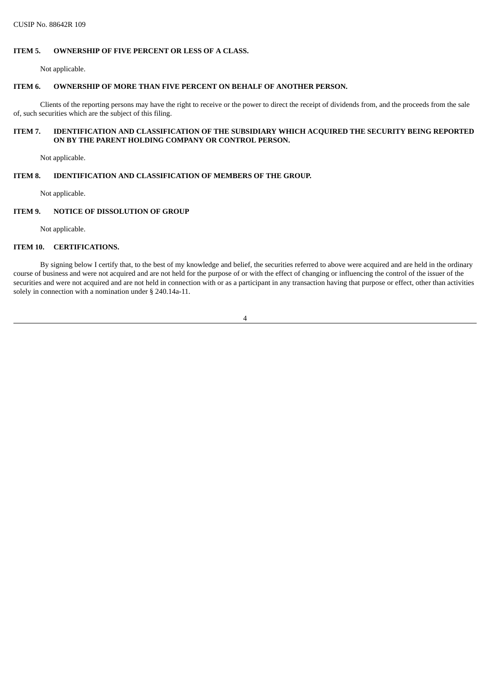# **ITEM 5. OWNERSHIP OF FIVE PERCENT OR LESS OF A CLASS.**

Not applicable.

# **ITEM 6. OWNERSHIP OF MORE THAN FIVE PERCENT ON BEHALF OF ANOTHER PERSON.**

Clients of the reporting persons may have the right to receive or the power to direct the receipt of dividends from, and the proceeds from the sale of, such securities which are the subject of this filing.

# **ITEM 7. IDENTIFICATION AND CLASSIFICATION OF THE SUBSIDIARY WHICH ACQUIRED THE SECURITY BEING REPORTED ON BY THE PARENT HOLDING COMPANY OR CONTROL PERSON.**

Not applicable.

# **ITEM 8. IDENTIFICATION AND CLASSIFICATION OF MEMBERS OF THE GROUP.**

Not applicable.

# **ITEM 9. NOTICE OF DISSOLUTION OF GROUP**

Not applicable.

## **ITEM 10. CERTIFICATIONS.**

By signing below I certify that, to the best of my knowledge and belief, the securities referred to above were acquired and are held in the ordinary course of business and were not acquired and are not held for the purpose of or with the effect of changing or influencing the control of the issuer of the securities and were not acquired and are not held in connection with or as a participant in any transaction having that purpose or effect, other than activities solely in connection with a nomination under § 240.14a-11.

4